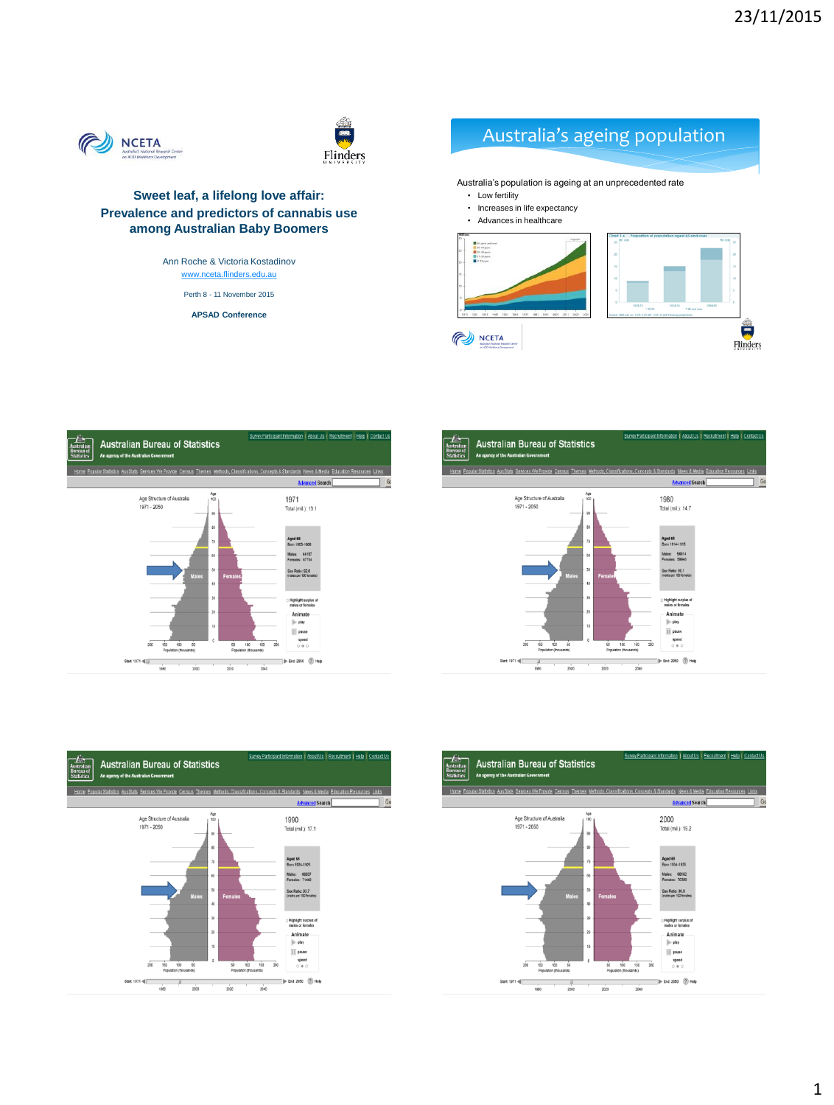



#### **Sweet leaf, a lifelong love affair: Prevalence and predictors of cannabis use among Australian Baby Boomers**

Ann Roche & Victoria Kostadinov [www.nceta.flinders.edu.au](http://www.nceta.flinders.edu.au/)

Perth 8 - 11 November 2015

**APSAD Conference**

## Australia's ageing population

Australia's population is ageing at an unprecedented rate • Low fertility • Increases in life expectancy • Advances in healthcare $\frac{1}{2}$ NCETA  $Flinders$ 







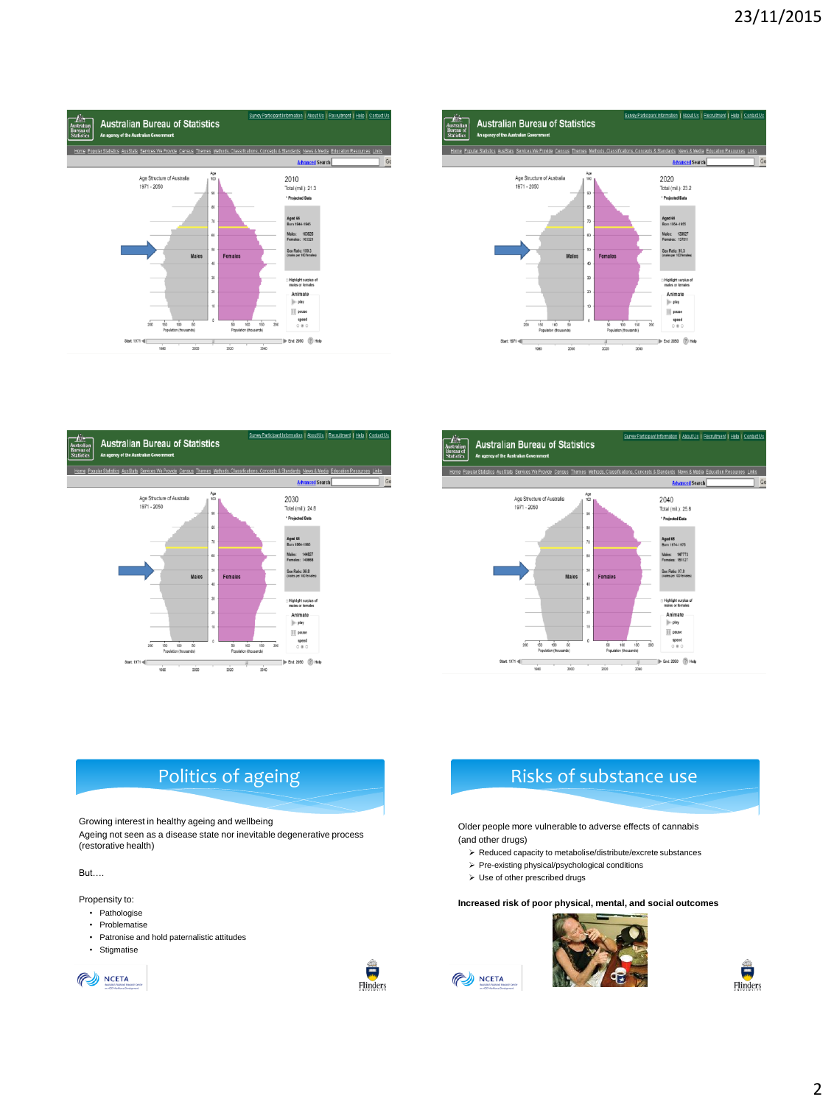







#### Politics of ageing

Growing interest in healthy ageing and wellbeing

Ageing not seen as a disease state nor inevitable degenerative process (restorative health)

But….

Propensity to:

- Pathologise
- Problematise
- Patronise and hold paternalistic attitudes
- Stigmatise





## Risks of substance use

Older people more vulnerable to adverse effects of cannabis (and other drugs)

- $\triangleright$  Reduced capacity to metabolise/distribute/excrete substances
- $\triangleright$  Pre-existing physical/psychological conditions
- Use of other prescribed drugs

NCETA

**Increased risk of poor physical, mental, and social outcomes**



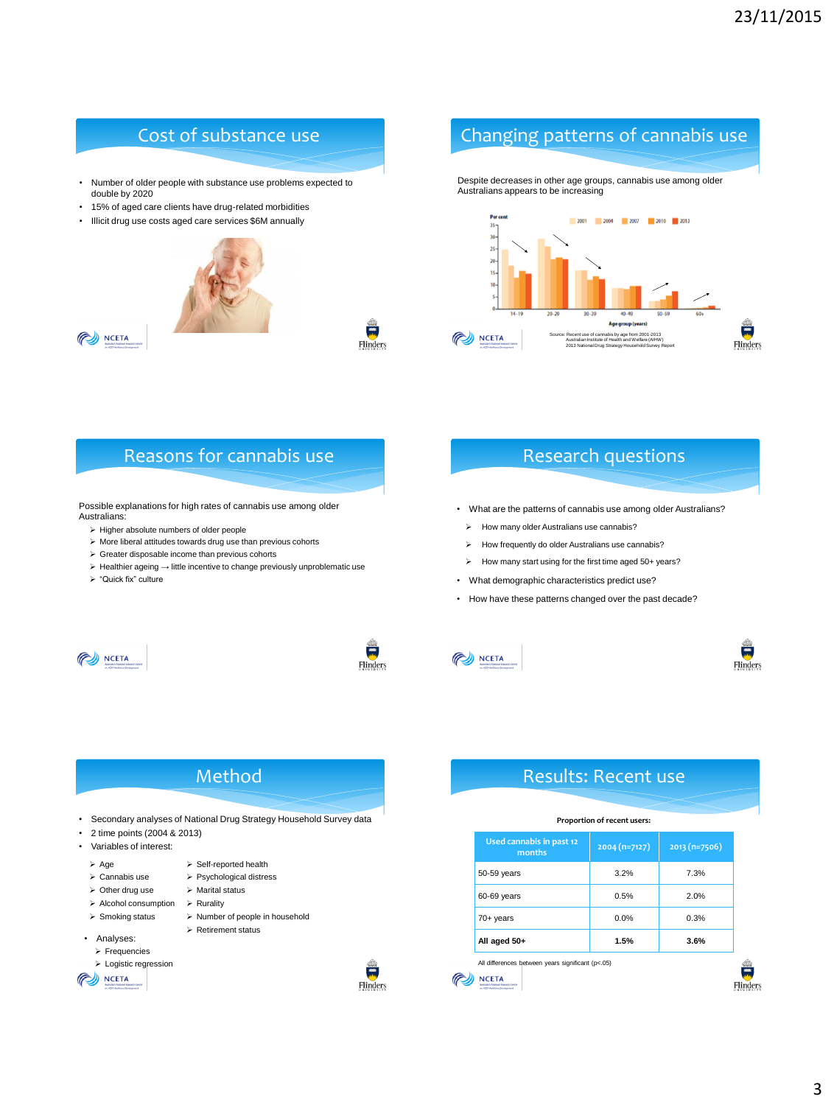- Number of older people with substance use problems expected to double by 2020
- 15% of aged care clients have drug-related morbidities
- Illicit drug use costs aged care services \$6M annually





 $\frac{1}{2}$ Flinders

## Cost of substance use Changing patterns of cannabis use

Despite decreases in other age groups, cannabis use among older Australians appears to be increasing



#### Reasons for cannabis use Research questions

Possible explanations for high rates of cannabis use among older Australians:

- $\triangleright$  Higher absolute numbers of older people
- $\triangleright$  More liberal attitudes towards drug use than previous cohorts
- Greater disposable income than previous cohorts
- > Healthier ageing → little incentive to change previously unproblematic use
- > "Quick fix" culture

- What are the patterns of cannabis use among older Australians?
	- $\triangleright$  How many older Australians use cannabis?
	- > How frequently do older Australians use cannabis?
	- How many start using for the first time aged 50+ years?
- What demographic characteristics predict use?
- How have these patterns changed over the past decade?









鲁

Flinders

### Method

- Secondary analyses of National Drug Strategy Household Survey data
- 2 time points (2004 & 2013)
- Variables of interest:
- $\triangleright$  Age  $\triangleright$  Self-reported health
- > Cannabis use > Psychological distress
- $\triangleright$  Other drug use  $\triangleright$  Marital status
- $\triangleright$  Alcohol consumption  $\triangleright$  Rurality
- > Smoking status > Number of people in household
	- Retirement status
- Analyses:  $\triangleright$  Frequencies
	- > Logistic regression
- **PO NCETA**



#### Results: Recent use

#### **Proportion of recent users:**

| Used cannabis in past 12<br>months                | $2004(n=7127)$ | $2013(n=7506)$ |
|---------------------------------------------------|----------------|----------------|
| 50-59 years                                       | 3.2%           | 7.3%           |
| 60-69 years                                       | 0.5%           | 2.0%           |
| $70+$ years                                       | 0.0%           | 0.3%           |
| All aged 50+                                      | 1.5%           | 3.6%           |
| All differences between years significant (p<.05) |                |                |
| on 400 Min44 one Deadwayers                       |                |                |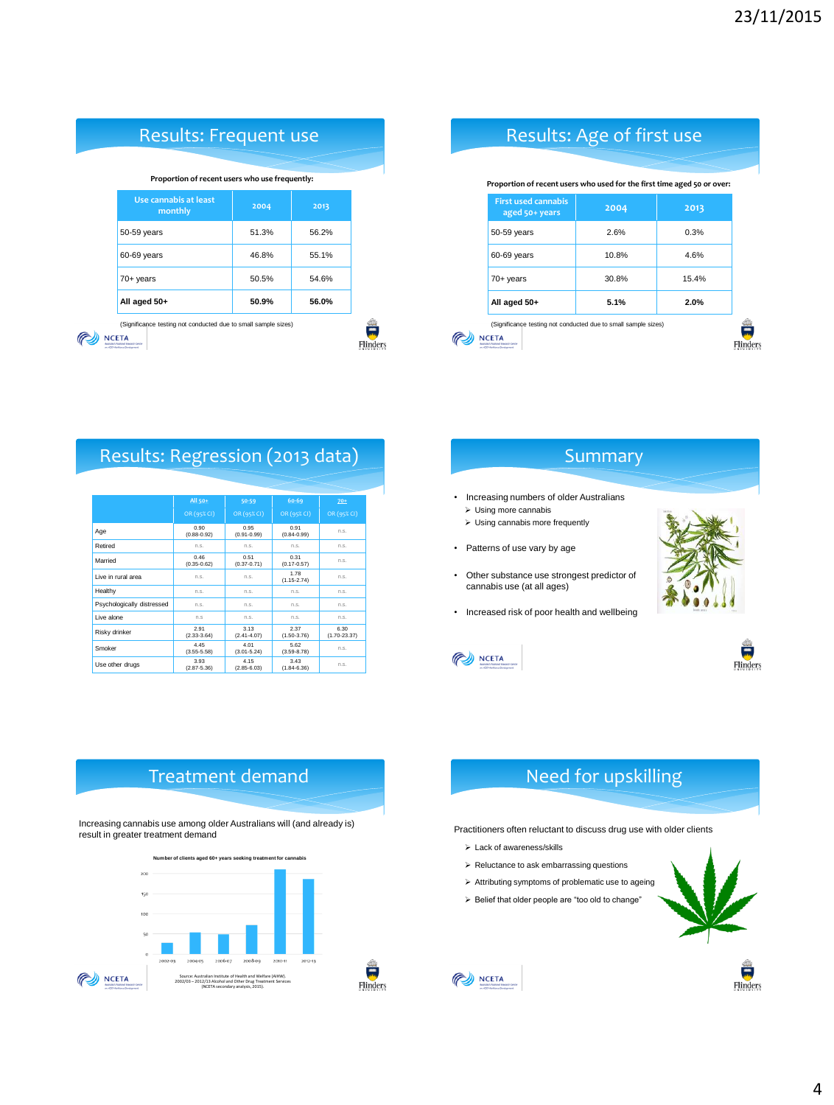| <b>Results: Frequent use</b>                                                                             |       |       |  |
|----------------------------------------------------------------------------------------------------------|-------|-------|--|
| Proportion of recent users who use frequently:                                                           |       |       |  |
| Use cannabis at least<br>monthly                                                                         | 2004  | 2013  |  |
| 50-59 years                                                                                              | 51.3% | 56.2% |  |
| 60-69 years                                                                                              | 46.8% | 55.1% |  |
| $70+$ years                                                                                              | 50.5% | 54.6% |  |
| All aged 50+                                                                                             | 50.9% | 56.0% |  |
| (Significance testing not conducted due to small sample sizes)<br><b>JCFTA</b><br>on 400 Moddays Goodway |       |       |  |

Results: Regression (2013 data)

**Retired** n.s. n.s. n.s. n.s. n.s. n.s.

**Healthy h.s. compared in the mealthy** in the mean in the mean in the mean in the mean in the mean in the mean in the mean in the mean in the mean in the mean in the mean in the mean in the mean in the mean in the mean i Psychologically distressed n.s. n.s. n.s. n.s. n.s. n.s. Live alone **n.s.** n.s. n.s. n.s. n.s. n.s.

 $0.46$ <br>(0.35-0.62)

 $2.91$ <br>(2.33-3.64)

 $(2.87-5.36)$ 

Live in rural area n.s. and n.s. h.s.

Age 0.90 (0.88-0.92)

Smoker 4.45<br>
(3.55-5.58)

Married

Risky drinker

Use other drugs

**All 50+ 50-59 60-69 70+**

 $(0.91$  n.s.

 $(0.31$  n.s.

 $(1.15-2.74)$  n.s.

 $5.62$ <br>(3.59-8.78) n.s.

 $3.43$  n.s.<br>(1.84-6.36)

6.30 (1.70-23.37)

esternational en de la proportation de la proportation de la proportation de la proportation de la proportation de la proportation de la proportation de la proportation de la proportation de la proportation de la proportat

2.37  $(1.50-3.76)$ 

0.95 (0.91-0.99)

0.51 (0.37-0.71)

3.13 (2.41-4.07)

4.01 (3.01-5.24)

4.15 (2.85-6.03)

## Results: Age of first use

#### **Proportion of recent users who used for the first time aged 50 or over:**

| All aged 50+                                 | 5.1%  | 2.0%  |
|----------------------------------------------|-------|-------|
| $70+$ years                                  | 30.8% | 15.4% |
| 60-69 years                                  | 10.8% | 4.6%  |
| 50-59 years                                  | 2.6%  | 0.3%  |
| <b>First used cannabis</b><br>aged 50+ years | 2004  | 2013  |

NCETA



- Increasing numbers of older Australians
	- $\triangleright$  Using more cannabis Using cannabis more frequently
	-
- Patterns of use vary by age
- Other substance use strongest predictor of cannabis use (at all ages)
- Increased risk of poor health and wellbeing



Flinders

鲁

Flinders





#### Treatment demand

Increasing cannabis use among older Australians will (and already is) result in greater treatment demand





Practitioners often reluctant to discuss drug use with older clients

- Lack of awareness/skills
- $\triangleright$  Reluctance to ask embarrassing questions
- $\triangleright$  Attributing symptoms of problematic use to ageing
- $\geq$  Belief that older people are "too old to change"